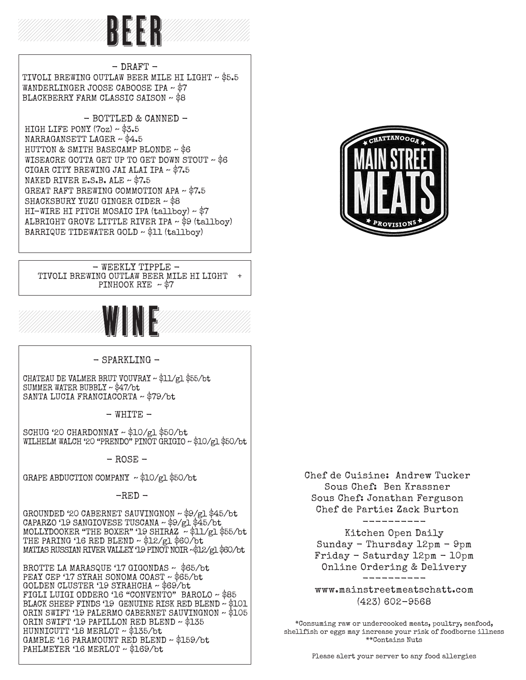

 $-$  DRAFT  $-$ TIVOLI BREWING OUTLAW BEER MILE HI LIGHT ~ \$5.5 WANDERLINGER JOOSE CABOOSE IPA ~ \$7 BLACKBERRY FARM CLASSIC SAISON ~ \$8

- BOTTLED & CANNED -HIGH LIFE PONY  $(7<sub>OZ</sub>) \sim $3.5$  NARRAGANSETT LAGER ~ \$4.5 HUTTON & SMITH BASECAMP BLONDE ~ \$6 WISEACRE GOTTA GET UP TO GET DOWN STOUT ~ \$6 CIGAR CITY BREWING JAI ALAI IPA ~ \$7.5 NAKED RIVER E.S.B. ALE ~ \$7.5 GREAT RAFT BREWING COMMOTION APA ~ \$7.5 SHACKSBURY YUZU GINGER CIDER ~ \$8 HI-WIRE HI PITCH MOSAIC IPA (tallboy) ~ \$7 ALBRIGHT GROVE LITTLE RIVER IPA ~ \$9 (tallboy) BARRIQUE TIDEWATER GOLD ~ \$11 (tallboy)

#### - WEEKLY TIPPLE - TIVOLI BREWING OUTLAW BEER MILE HI LIGHT + PINHOOK RYE  $~\sim$  \$7



- SPARKLING -

CHATEAU DE VALMER BRUT VOUVRAY ~ \$11/gl \$55/bt SUMMER WATER BUBBLY ~ \$47/bt SANTA LUCIA FRANCIACORTA ~ \$79/bt

 $-$  WHITE  $-$ 

SCHUG '20 CHARDONNAY ~ \$10/gl \$50/bt WILHELM WALCH '20 "PRENDO" PINOT GRIGIO ~ \$10/gl \$50/bt

 $-$  ROSE  $-$ 

GRAPE ABDUCTION COMPANY ~ \$10/gl \$50/bt

 $-RED -$ 

GROUNDED '20 CABERNET SAUVINGNON ~ \$9/gl \$45/bt CAPARZO '19 SANGIOVESE TUSCANA ~ \$9/gl \$45/bt MOLLYDOOKER "THE BOXER" '19 SHIRAZ ~ \$11/gl \$55/bt THE PARING '16 RED BLEND  $\sim$  \$12/gl \$60/bt MATIAS RUSSIAN RIVER VALLEY '19 PINOT NOIR ~\$12/gl \$60/bt

BROTTE LA MARASQUE '17 GIGONDAS ~ \$65/bt PEAY CEP '17 SYRAH SONOMA COAST ~ \$65/bt GOLDEN CLUSTER '19 SYRAHCHA ~ \$69/bt FIGLI LUIGI ODDERO '16 "CONVENTO" BAROLO ~ \$85 BLACK SHEEP FINDS '19 GENUINE RISK RED BLEND  $\sim$  \$101 ORIN SWIFT '19 PALERMO CABERNET SAUVINGNON ~ \$105 ORIN SWIFT '19 PAPILLON RED BLEND ~ \$135 HUNNICUTT '18 MERLOT ~ \$135/bt GAMBLE '16 PARAMOUNT RED BLEND ~ \$159/bt PAHLMEYER '16 MERLOT ~ \$169/bt



Chef de Cuisine: Andrew Tucker Sous Chef: Ben Krassner Sous Chef: Jonathan Ferguson Chef de Partie: Zack Burton

> ---------- Kitchen Open Daily

Sunday - Thursday 12pm - 9pm Friday - Saturday 12pm - 10pm Online Ordering & Delivery

--------- www.mainstreetmeatschatt.com (423) 602-9568

\*Consuming raw or undercooked meats, poultry, seafood, shellfish or eggs may increase your risk of foodborne illness \*\*Contains Nuts

Please alert your server to any food allergies